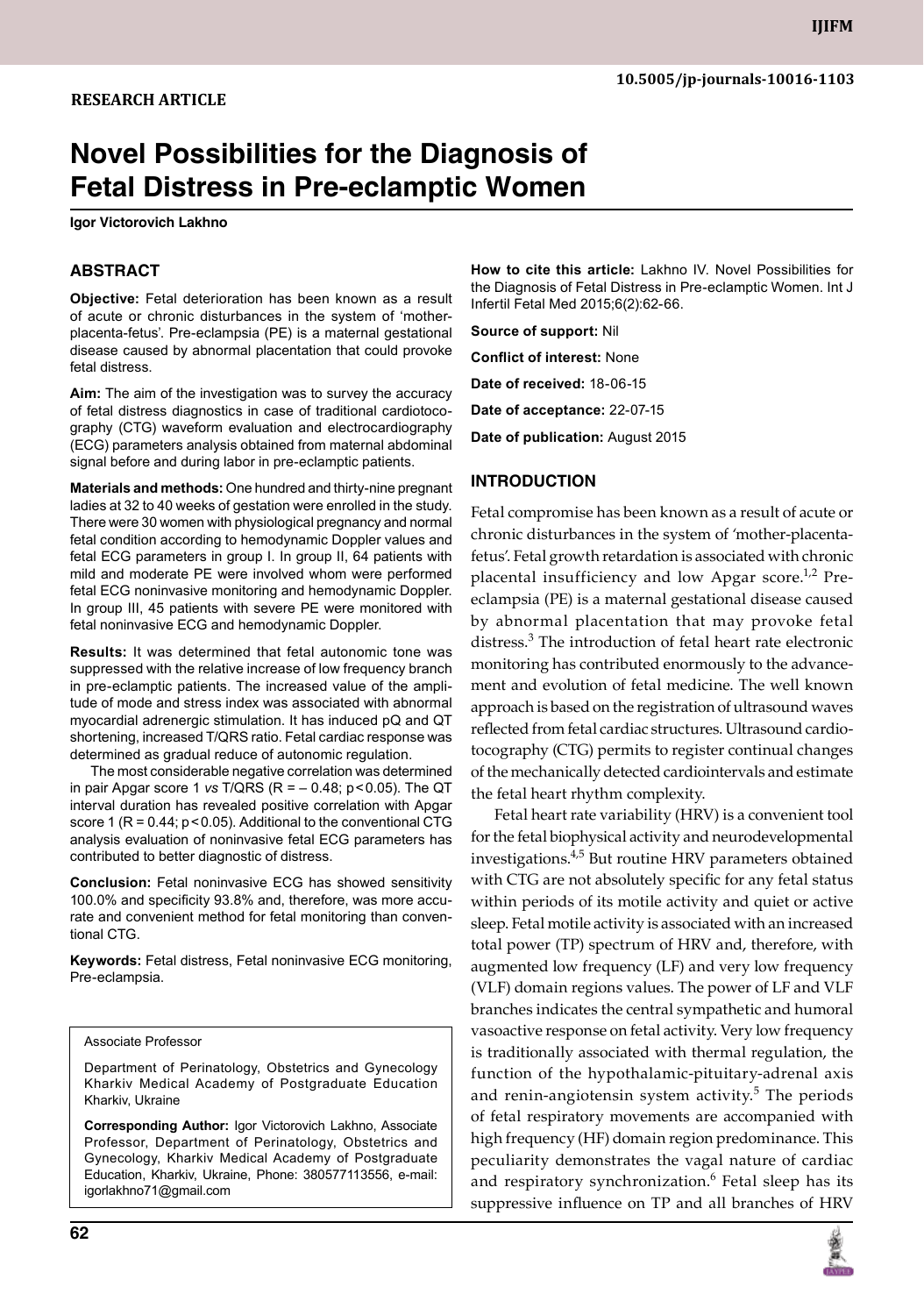# **Novel Possibilities for the Diagnosis of Fetal Distress in Pre-eclamptic Women**

**Igor Victorovich Lakhno**

## **ABSTRACT**

**Objective:** Fetal deterioration has been known as a result of acute or chronic disturbances in the system of 'motherplacenta-fetus'. Pre-eclampsia (PE) is a maternal gestational disease caused by abnormal placentation that could provoke fetal distress.

**Aim:** The aim of the investigation was to survey the accuracy of fetal distress diagnostics in case of traditional cardiotocography (CTG) waveform evaluation and electrocardiography (ECG) parameters analysis obtained from maternal abdominal signal before and during labor in pre-eclamptic patients.

**Materials and methods:** One hundred and thirty-nine pregnant ladies at 32 to 40 weeks of gestation were enrolled in the study. There were 30 women with physiological pregnancy and normal fetal condition according to hemodynamic Doppler values and fetal ECG parameters in group I. In group II, 64 patients with mild and moderate PE were involved whom were performed fetal ECG noninvasive monitoring and hemodynamic Doppler. In group III, 45 patients with severe PE were monitored with fetal noninvasive ECG and hemodynamic Doppler.

**Results:** It was determined that fetal autonomic tone was suppressed with the relative increase of low frequency branch in pre-eclamptic patients. The increased value of the amplitude of mode and stress index was associated with abnormal myocardial adrenergic stimulation. It has induced pQ and QT shortening, increased T/QRS ratio. Fetal cardiac response was determined as gradual reduce of autonomic regulation.

 The most considerable negative correlation was determined in pair Apgar score 1 *vs* T/QRS (R = – 0.48; p<0.05). The QT interval duration has revealed positive correlation with Apgar score 1 ( $R = 0.44$ ;  $p < 0.05$ ). Additional to the conventional CTG analysis evaluation of noninvasive fetal ECG parameters has contributed to better diagnostic of distress.

**Conclusion:** Fetal noninvasive ECG has showed sensitivity 100.0% and specificity 93.8% and, therefore, was more accurate and convenient method for fetal monitoring than conventional CTG.

**Keywords:** Fetal distress, Fetal noninvasive Ecg monitoring, Pre-eclampsia.

#### Associate Professor

Department of Perinatology, Obstetrics and Gynecology Kharkiv Medical Academy of Postgraduate Education Kharkiv, Ukraine

**Corresponding Author:** Igor Victorovich Lakhno, Associate Professor, Department of Perinatology, Obstetrics and Gynecology, Kharkiv Medical Academy of Postgraduate Education, Kharkiv, Ukraine, Phone: 380577113556, e-mail: igorlakhno71@gmail.com

**How to cite this article:** Lakhno IV. Novel Possibilities for the Diagnosis of Fetal Distress in Pre-eclamptic Women. Int J Infertil Fetal Med 2015;6(2):62-66.

**Source of support:** Nil

**Conflict of interest:** None

**Date of received:** 18-06-15

**Date of acceptance:** 22-07-15

**Date of publication:** August 2015

#### **Introduction**

Fetal compromise has been known as a result of acute or chronic disturbances in the system of 'mother-placentafetus'. Fetal growth retardation is associated with chronic placental insufficiency and low Apgar score.<sup>1,2</sup> Preeclampsia (PE) is a maternal gestational disease caused by abnormal placentation that may provoke fetal distress.<sup>3</sup> The introduction of fetal heart rate electronic monitoring has contributed enormously to the advancement and evolution of fetal medicine. The well known approach is based on the registration of ultrasound waves reflected from fetal cardiac structures. Ultrasound cardiotocography (CTG) permits to register continual changes of the mechanically detected cardiointervals and estimate the fetal heart rhythm complexity.

Fetal heart rate variability (HRV) is a convenient tool for the fetal biophysical activity and neurodevelopmental investigations.4,5 But routine HRV parameters obtained with CTG are not absolutely specific for any fetal status within periods of its motile activity and quiet or active sleep. Fetal motile activity is associated with an increased total power (TP) spectrum of HRV and, therefore, with augmented low frequency (LF) and very low frequency (VLF) domain regions values. The power of LF and VLF branches indicates the central sympathetic and humoral vasoactive response on fetal activity. Very low frequency is traditionally associated with thermal regulation, the function of the hypothalamic-pituitary-adrenal axis and renin-angiotensin system activity.<sup>5</sup> The periods of fetal respiratory movements are accompanied with high frequency (HF) domain region predominance. This peculiarity demonstrates the vagal nature of cardiac and respiratory synchronization.<sup>6</sup> Fetal sleep has its suppressive influence on TP and all branches of HRV

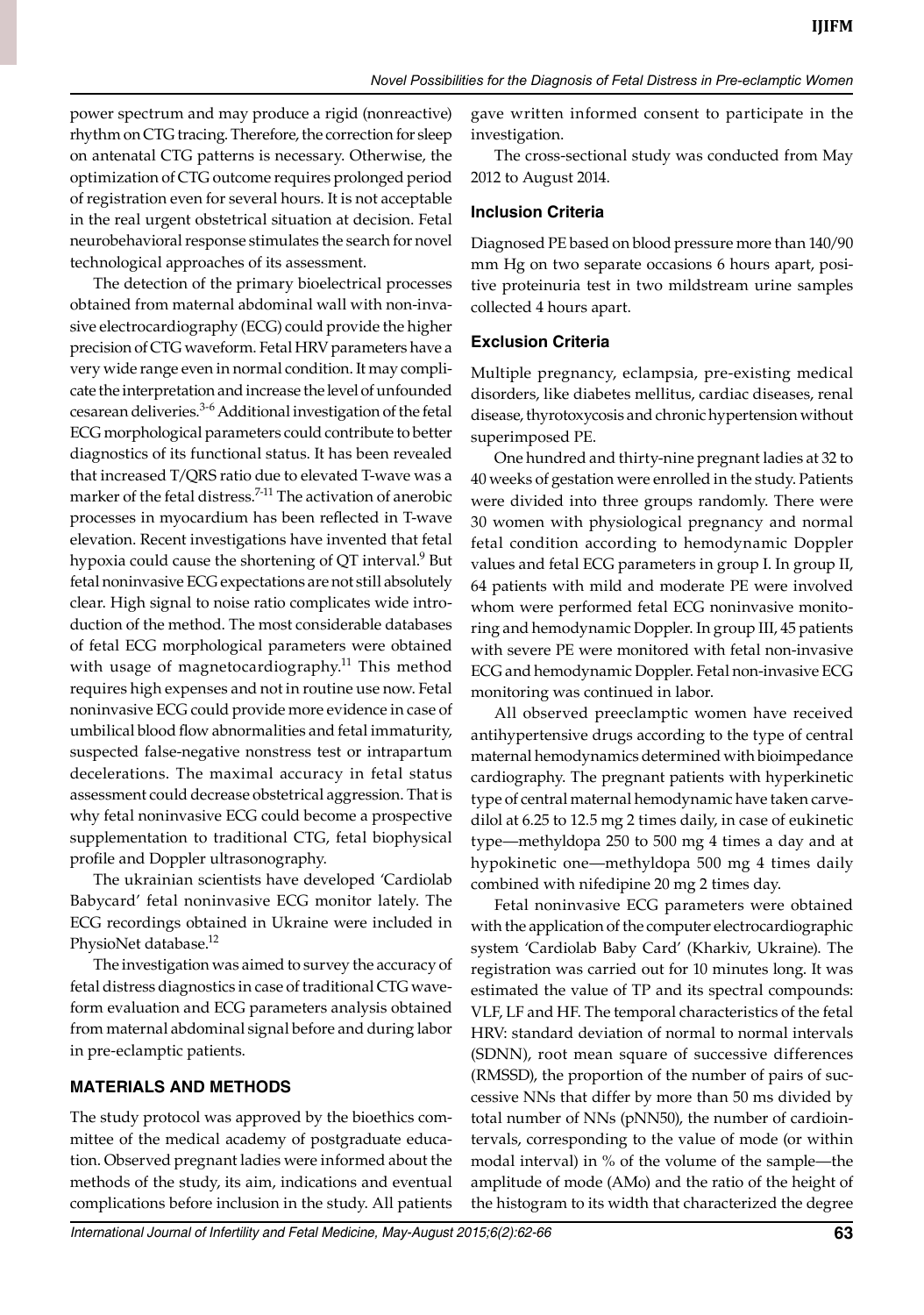power spectrum and may produce a rigid (nonreactive) rhythm on CTG tracing. Therefore, the correction for sleep on antenatal CTG patterns is necessary. Otherwise, the optimization of CTG outcome requires prolonged period of registration even for several hours. It is not acceptable in the real urgent obstetrical situation at decision. Fetal neurobehavioral response stimulates the search for novel technological approaches of its assessment.

The detection of the primary bioelectrical processes obtained from maternal abdominal wall with non-invasive electrocardiography (ECG) could provide the higher precision of CTG waveform. Fetal HRV parameters have a very wide range even in normal condition. It may complicate the interpretation and increase the level of unfounded cesarean deliveries.<sup>3-6</sup> Additional investigation of the fetal ECG morphological parameters could contribute to better diagnostics of its functional status. It has been revealed that increased T/QRS ratio due to elevated T-wave was a marker of the fetal distress.<sup>7-11</sup> The activation of anerobic processes in myocardium has been reflected in T-wave elevation. Recent investigations have invented that fetal hypoxia could cause the shortening of QT interval. $9$  But fetal noninvasive ECG expectations are not still absolutely clear. High signal to noise ratio complicates wide introduction of the method. The most considerable databases of fetal ECG morphological parameters were obtained with usage of magnetocardiography.<sup>11</sup> This method requires high expenses and not in routine use now. Fetal noninvasive ECG could provide more evidence in case of umbilical blood flow abnormalities and fetal immaturity, suspected false-negative nonstress test or intrapartum decelerations. The maximal accuracy in fetal status assessment could decrease obstetrical aggression. That is why fetal noninvasive ECG could become a prospective supplementation to traditional CTG, fetal biophysical profile and Doppler ultrasonography.

The ukrainian scientists have developed 'Cardiolab Babycard' fetal noninvasive ECG monitor lately. The ECG recordings obtained in Ukraine were included in PhysioNet database.<sup>12</sup>

The investigation was aimed to survey the accuracy of fetal distress diagnostics in case of traditional CTG waveform evaluation and ECG parameters analysis obtained from maternal abdominal signal before and during labor in pre-eclamptic patients.

# **Materials and methods**

The study protocol was approved by the bioethics committee of the medical academy of postgraduate education. Observed pregnant ladies were informed about the methods of the study, its aim, indications and eventual complications before inclusion in the study. All patients gave written informed consent to participate in the investigation.

The cross-sectional study was conducted from May 2012 to August 2014.

#### **Inclusion Criteria**

Diagnosed PE based on blood pressure more than 140/90 mm Hg on two separate occasions 6 hours apart, positive proteinuria test in two mildstream urine samples collected 4 hours apart.

# **Exclusion Criteria**

multiple pregnancy, eclampsia, pre-existing medical disorders, like diabetes mellitus, cardiac diseases, renal disease, thyrotoxycosis and chronic hypertension without superimposed PE.

One hundred and thirty-nine pregnant ladies at 32 to 40 weeks of gestation were enrolled in the study. Patients were divided into three groups randomly. There were 30 women with physiological pregnancy and normal fetal condition according to hemodynamic Doppler values and fetal ECG parameters in group I. In group II, 64 patients with mild and moderate PE were involved whom were performed fetal ECG noninvasive monitoring and hemodynamic Doppler. In group III, 45 patients with severe PE were monitored with fetal non-invasive ECG and hemodynamic Doppler. Fetal non-invasive ECG monitoring was continued in labor.

All observed preeclamptic women have received antihypertensive drugs according to the type of central maternal hemodynamics determined with bioimpedance cardiography. The pregnant patients with hyperkinetic type of central maternal hemodynamic have taken carvedilol at 6.25 to 12.5 mg 2 times daily, in case of eukinetic type—methyldopa 250 to 500 mg 4 times a day and at hypokinetic one—methyldopa 500 mg 4 times daily combined with nifedipine 20 mg 2 times day.

Fetal noninvasive ECG parameters were obtained with the application of the computer electrocardiographic system 'Cardiolab Baby Card' (Kharkiv, Ukraine). The registration was carried out for 10 minutes long. It was estimated the value of TP and its spectral compounds: VLF, LF and HF. The temporal characteristics of the fetal HRV: standard deviation of normal to normal intervals (SDNN), root mean square of successive differences (RMSSD), the proportion of the number of pairs of successive NNs that differ by more than 50 ms divided by total number of NNs (pNN50), the number of cardiointervals, corresponding to the value of mode (or within modal interval) in % of the volume of the sample—the amplitude of mode (AMo) and the ratio of the height of the histogram to its width that characterized the degree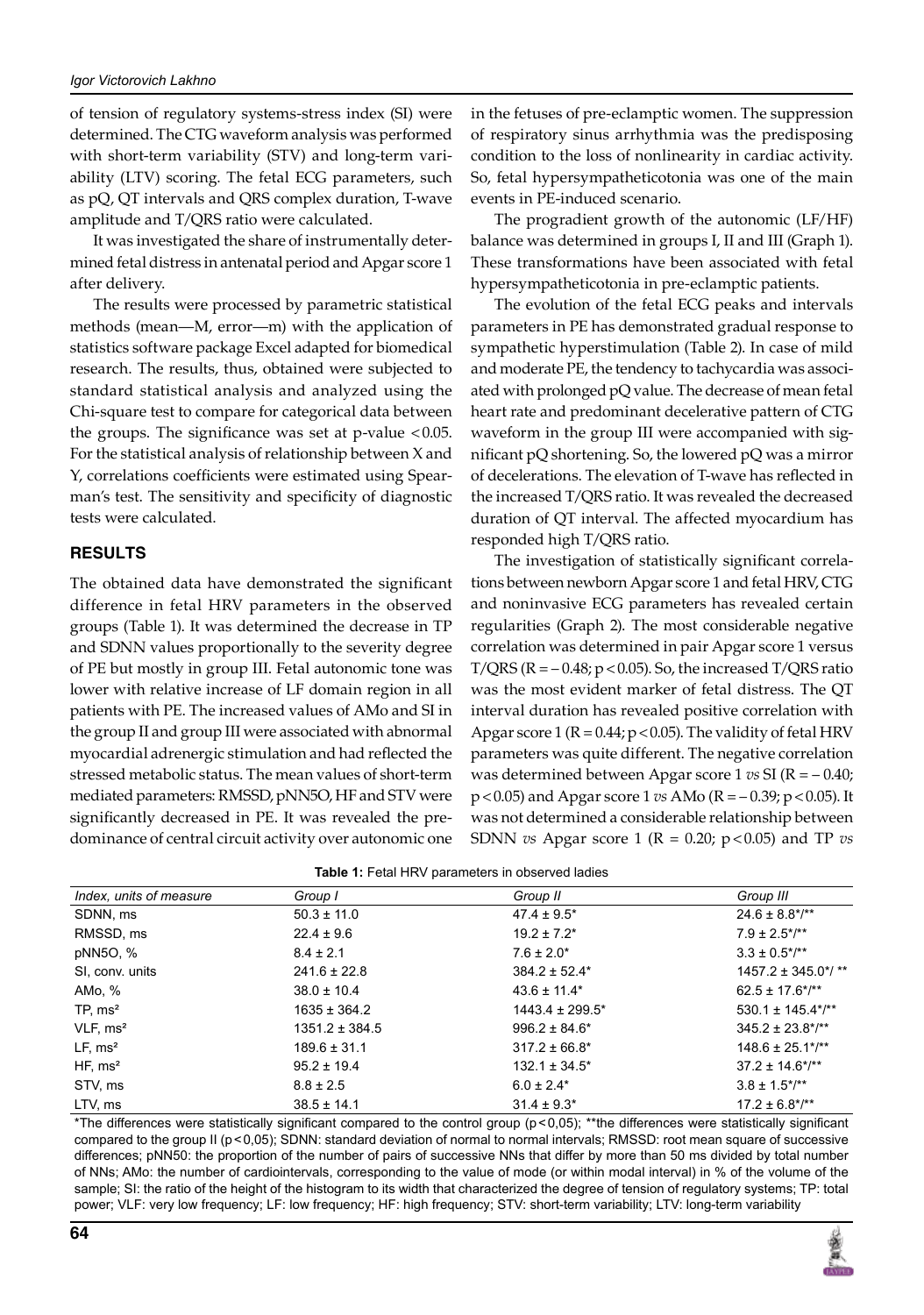of tension of regulatory systems-stress index (SI) were determined. The CTG waveform analysis was performed with short-term variability (STV) and long-term variability (LTV) scoring. The fetal ECG parameters, such as pQ, QT intervals and QRS complex duration, T-wave amplitude and T/QRS ratio were calculated.

It was investigated the share of instrumentally determined fetal distress in antenatal period and Apgar score 1 after delivery.

The results were processed by parametric statistical methods (mean—M, error—m) with the application of statistics software package Excel adapted for biomedical research. The results, thus, obtained were subjected to standard statistical analysis and analyzed using the Chi-square test to compare for categorical data between the groups. The significance was set at  $p$ -value <0.05. For the statistical analysis of relationship between X and Y, correlations coefficients were estimated using Spearman's test. The sensitivity and specificity of diagnostic tests were calculated.

#### **Results**

The obtained data have demonstrated the significant difference in fetal HRV parameters in the observed groups (Table 1). It was determined the decrease in TP and SDNN values proportionally to the severity degree of PE but mostly in group III. Fetal autonomic tone was lower with relative increase of LF domain region in all patients with PE. The increased values of AMo and SI in the group II and group III were associated with abnormal myocardial adrenergic stimulation and had reflected the stressed metabolic status. The mean values of short-term mediated parameters: RMSSD, pNN5O, HF and STV were significantly decreased in PE. It was revealed the predominance of central circuit activity over autonomic one

in the fetuses of pre-eclamptic women. The suppression of respiratory sinus arrhythmia was the predisposing condition to the loss of nonlinearity in cardiac activity. So, fetal hypersympatheticotonia was one of the main events in PE-induced scenario.

The progradient growth of the autonomic (LF/HF) balance was determined in groups I, II and III (Graph 1). These transformations have been associated with fetal hypersympatheticotonia in pre-eclamptic patients.

The evolution of the fetal ECG peaks and intervals parameters in PE has demonstrated gradual response to sympathetic hyperstimulation (Table 2). In case of mild and moderate PE, the tendency to tachycardia was associated with prolonged pQ value. The decrease of mean fetal heart rate and predominant decelerative pattern of CTG waveform in the group III were accompanied with significant pQ shortening. So, the lowered pQ was a mirror of decelerations. The elevation of T-wave has reflected in the increased T/QRS ratio. It was revealed the decreased duration of QT interval. The affected myocardium has responded high T/QRS ratio.

The investigation of statistically significant correlations between newborn Apgar score 1 and fetal HRV, CTG and noninvasive ECG parameters has revealed certain regularities (Graph 2). The most considerable negative correlation was determined in pair Apgar score 1 versus  $T/QRS$  ( $R = -0.48$ ;  $p < 0.05$ ). So, the increased  $T/QRS$  ratio was the most evident marker of fetal distress. The QT interval duration has revealed positive correlation with Apgar score 1 ( $R = 0.44$ ;  $p < 0.05$ ). The validity of fetal HRV parameters was quite different. The negative correlation was determined between Apgar score 1 *vs* SI (R = – 0.40;  $p < 0.05$ ) and Apgar score 1 *vs* AMo ( $R = -0.39$ ;  $p < 0.05$ ). It was not determined a considerable relationship between SDNN *vs* Apgar score 1 (R = 0.20; p < 0.05) and TP *vs* 

| Index, units of measure | Group I            | Group II             | Group III                |
|-------------------------|--------------------|----------------------|--------------------------|
|                         |                    |                      |                          |
| SDNN, ms                | $50.3 \pm 11.0$    | $47.4 \pm 9.5^*$     | $24.6 \pm 8.8$ */**      |
| RMSSD, ms               | $22.4 \pm 9.6$     | $19.2 \pm 7.2^*$     | $7.9 \pm 2.5$ */**       |
| pNN5O, %                | $8.4 \pm 2.1$      | $7.6 \pm 2.0^*$      | $3.3 \pm 0.5$ */**       |
| SI, conv. units         | $241.6 \pm 22.8$   | $384.2 \pm 52.4*$    | $1457.2 \pm 345.0$ */ ** |
| AMo, %                  | $38.0 \pm 10.4$    | $43.6 \pm 11.4*$     | $62.5 \pm 17.6^*/^{**}$  |
| TP, ms <sup>2</sup>     | $1635 \pm 364.2$   | $1443.4 \pm 299.5^*$ | $530.1 \pm 145.4$ */**   |
| VLF, ms <sup>2</sup>    | $1351.2 \pm 384.5$ | $996.2 \pm 84.6^*$   | $345.2 \pm 23.8$ */**    |
| LF, ms <sup>2</sup>     | $189.6 \pm 31.1$   | $317.2 \pm 66.8^*$   | $148.6 \pm 25.1$ */**    |
| HF, ms <sup>2</sup>     | $95.2 \pm 19.4$    | $132.1 \pm 34.5^*$   | $37.2 \pm 14.6$ */**     |
| STV, ms                 | $8.8 \pm 2.5$      | $6.0 \pm 2.4*$       | $3.8 \pm 1.5^{*/**}$     |
| LTV, ms                 | $38.5 \pm 14.1$    | $31.4 \pm 9.3^*$     | $17.2 \pm 6.8$ */**      |

\*The differences were statistically significant compared to the control group (p<0,05); \*\*the differences were statistically significant compared to the group II (p<0,05); SDNN: standard deviation of normal to normal intervals; RMSSD: root mean square of successive differences; pNN50: the proportion of the number of pairs of successive NNs that differ by more than 50 ms divided by total number of NNs; AMo: the number of cardiointervals, corresponding to the value of mode (or within modal interval) in % of the volume of the sample; SI: the ratio of the height of the histogram to its width that characterized the degree of tension of regulatory systems; TP: total power; VLF: very low frequency; LF: low frequency; HF: high frequency; STV: short-term variability; LTV: long-term variability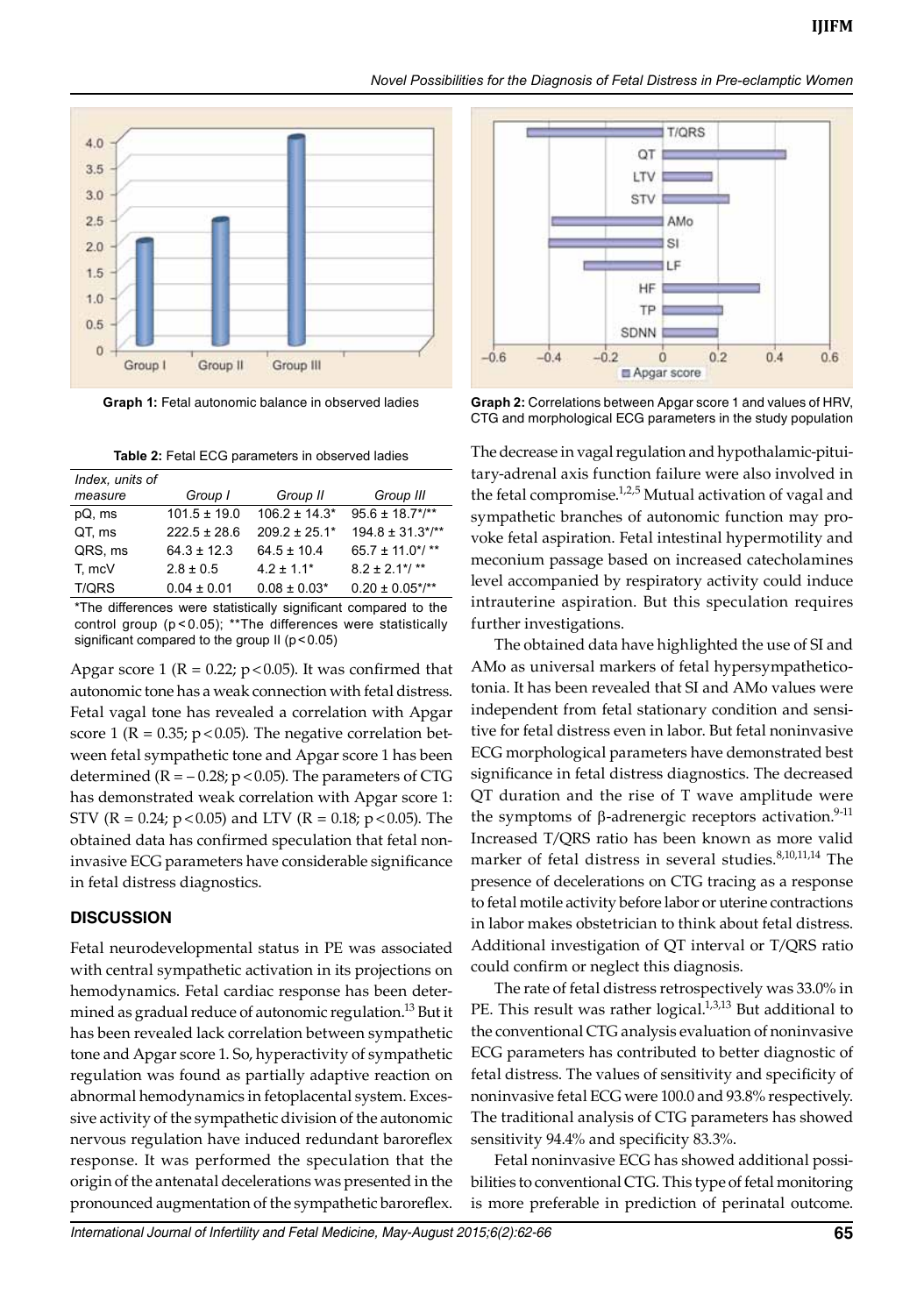



**Graph 1:** Fetal autonomic balance in observed ladies

**Table 2:** Fetal ECG parameters in observed ladies

| Index, units of |                  |                    |                       |
|-----------------|------------------|--------------------|-----------------------|
| measure         | Group I          | Group II           | Group III             |
| pQ, ms          | $101.5 \pm 19.0$ | $106.2 \pm 14.3^*$ | $95.6 \pm 18.7$ */**  |
| QT, ms          | $222.5 \pm 28.6$ | $209.2 \pm 25.1*$  | $194.8 \pm 31.3$ */** |
| QRS, ms         | $64.3 \pm 12.3$  | $64.5 \pm 10.4$    | 65.7 ± 11.0*/ **      |
| T. mcV          | $2.8 \pm 0.5$    | $4.2 \pm 1.1$ *    | $8.2 \pm 2.1$ */**    |
| <b>T/QRS</b>    | $0.04 \pm 0.01$  | $0.08 \pm 0.03*$   | $0.20 \pm 0.05$ */**  |

\*the differences were statistically significant compared to the control group (p < 0.05); \*\* The differences were statistically significant compared to the group  $II$  ( $p < 0.05$ )

Apgar score 1 ( $R = 0.22$ ;  $p < 0.05$ ). It was confirmed that autonomic tone has a weak connection with fetal distress. Fetal vagal tone has revealed a correlation with Apgar score 1 ( $R = 0.35$ ;  $p < 0.05$ ). The negative correlation between fetal sympathetic tone and Apgar score 1 has been determined  $(R = -0.28; p < 0.05)$ . The parameters of CTG has demonstrated weak correlation with Apgar score 1: STV (R = 0.24;  $p < 0.05$ ) and LTV (R = 0.18;  $p < 0.05$ ). The obtained data has confirmed speculation that fetal noninvasive ECG parameters have considerable significance in fetal distress diagnostics.

# **Discussion**

Fetal neurodevelopmental status in PE was associated with central sympathetic activation in its projections on hemodynamics. Fetal cardiac response has been determined as gradual reduce of autonomic regulation.<sup>13</sup> But it has been revealed lack correlation between sympathetic tone and Apgar score 1. So, hyperactivity of sympathetic regulation was found as partially adaptive reaction on abnormal hemodynamics in fetoplacental system. Excessive activity of the sympathetic division of the autonomic nervous regulation have induced redundant baroreflex response. It was performed the speculation that the origin of the antenatal decelerations was presented in the pronounced augmentation of the sympathetic baroreflex.



**Graph 2:** Correlations between Apgar score 1 and values of HRV, CTG and morphological ECG parameters in the study population

The decrease in vagal regulation and hypothalamic-pituitary-adrenal axis function failure were also involved in the fetal compromise.<sup>1,2,5</sup> Mutual activation of vagal and sympathetic branches of autonomic function may provoke fetal aspiration. Fetal intestinal hypermotility and meconium passage based on increased catecholamines level accompanied by respiratory activity could induce intrauterine aspiration. But this speculation requires further investigations.

The obtained data have highlighted the use of SI and AMo as universal markers of fetal hypersympatheticotonia. It has been revealed that SI and AMo values were independent from fetal stationary condition and sensitive for fetal distress even in labor. But fetal noninvasive ECG morphological parameters have demonstrated best significance in fetal distress diagnostics. The decreased QT duration and the rise of T wave amplitude were the symptoms of  $\beta$ -adrenergic receptors activation.<sup>9-11</sup> Increased T/QRS ratio has been known as more valid marker of fetal distress in several studies.<sup>8,10,11,14</sup> The presence of decelerations on CTG tracing as a response to fetal motile activity before labor or uterine contractions in labor makes obstetrician to think about fetal distress. Additional investigation of QT interval or T/QRS ratio could confirm or neglect this diagnosis.

The rate of fetal distress retrospectively was 33.0% in PE. This result was rather logical.<sup>1,3,13</sup> But additional to the conventional CTG analysis evaluation of noninvasive ECG parameters has contributed to better diagnostic of fetal distress. The values of sensitivity and specificity of noninvasive fetal ECG were 100.0 and 93.8% respectively. The traditional analysis of CTG parameters has showed sensitivity 94.4% and specificity 83.3%.

Fetal noninvasive ECG has showed additional possibilities to conventional CTG. This type of fetal monitoring is more preferable in prediction of perinatal outcome.